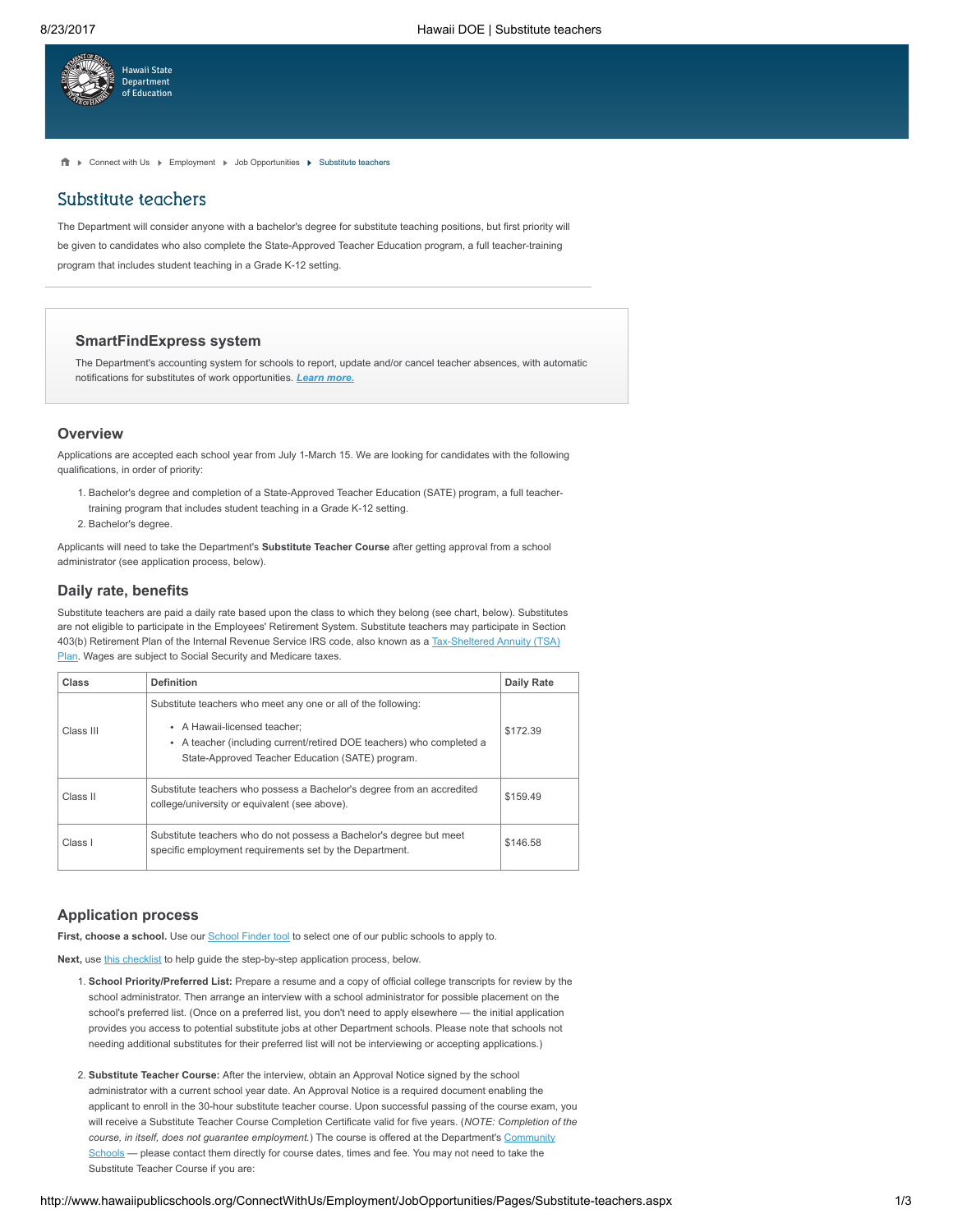

f Nonnect with Us Non-[Employment](http://www.hawaiipublicschools.org/ConnectWithUs/Employment/Pages/home.aspx) Nob [Opportunities](http://www.hawaiipublicschools.org/ConnectWithUs/Employment/JobOpportunities/Pages/home.aspx) Non-Substitute teachers

# Substitute teachers

The Department will consider anyone with a bachelor's degree for substitute teaching positions, but first priority will be given to candidates who also complete the State-Approved Teacher Education program, a full teacher-training program that includes student teaching in a Grade K-12 setting.

### SmartFindExpress system

The Department's accounting system for schools to report, update and/or cancel teacher absences, with automatic notifications for substitutes of work opportunities. **Learn [more.](http://www.hawaiipublicschools.org/ConnectWithUs/Employment/JobOpportunities/Pages/substitute-notifications.aspx)** 

#### **Overview**

Applications are accepted each school year from July 1-March 15. We are looking for candidates with the following qualifications, in order of priority:

- 1. Bachelor's degree and completion of a State-Approved Teacher Education (SATE) program, a full teachertraining program that includes student teaching in a Grade K-12 setting.
- 2. Bachelor's degree.

Applicants will need to take the Department's Substitute Teacher Course after getting approval from a school administrator (see application process, below).

## Daily rate, benefits

Substitute teachers are paid a daily rate based upon the class to which they belong (see chart, below). Substitutes are not eligible to participate in the Employees' Retirement System. Substitute teachers may participate in Section 403(b) Retirement Plan of the Internal Revenue Service IRS code, also known as a [Tax-Sheltered](http://www.hawaiipublicschools.org/ConnectWithUs/Employment/WorkingInHawaii/Pages/Tax-deferred-plans.aspx) Annuity (TSA) Plan. Wages are subject to Social Security and Medicare taxes.

| Class     | <b>Definition</b>                                                                                                                                                                                                         | <b>Daily Rate</b> |
|-----------|---------------------------------------------------------------------------------------------------------------------------------------------------------------------------------------------------------------------------|-------------------|
| Class III | Substitute teachers who meet any one or all of the following:<br>• A Hawaii-licensed teacher:<br>• A teacher (including current/retired DOE teachers) who completed a<br>State-Approved Teacher Education (SATE) program. | \$172.39          |
| Class II  | Substitute teachers who possess a Bachelor's degree from an accredited<br>college/university or equivalent (see above).                                                                                                   | \$159.49          |
| Class I   | Substitute teachers who do not possess a Bachelor's degree but meet<br>specific employment requirements set by the Department.                                                                                            | \$146.58          |

## Application process

First, choose a school. Use our **[School](http://www.hawaiipublicschools.org/ParentsAndStudents/EnrollingInSchool/SchoolFinder/Pages/home.aspx) Finder tool** to select one of our public schools to apply to.

Next, use this [checklist](http://www.hawaiipublicschools.org/DOE%20Forms/OHR/SubstituteChecklist.pdf) to help guide the step-by-step application process, below.

- 1. School Priority/Preferred List: Prepare a resume and a copy of official college transcripts for review by the school administrator. Then arrange an interview with a school administrator for possible placement on the school's preferred list. (Once on a preferred list, you don't need to apply elsewhere — the initial application provides you access to potential substitute jobs at other Department schools. Please note that schools not needing additional substitutes for their preferred list will not be interviewing or accepting applications.)
- 2. Substitute Teacher Course: After the interview, obtain an Approval Notice signed by the school administrator with a current school year date. An Approval Notice is a required document enabling the applicant to enroll in the 30-hour substitute teacher course. Upon successful passing of the course exam, you will receive a Substitute Teacher Course Completion Certificate valid for five years. (NOTE: Completion of the course, in itself, does not guarantee employment.) The course is offered at the [Department's](http://www.hawaiipublicschools.org/TeachingAndLearning/AdultEducation/Pages/Home.aspx) Community Schools - please contact them directly for course dates, times and fee. You may not need to take the Substitute Teacher Course if you are: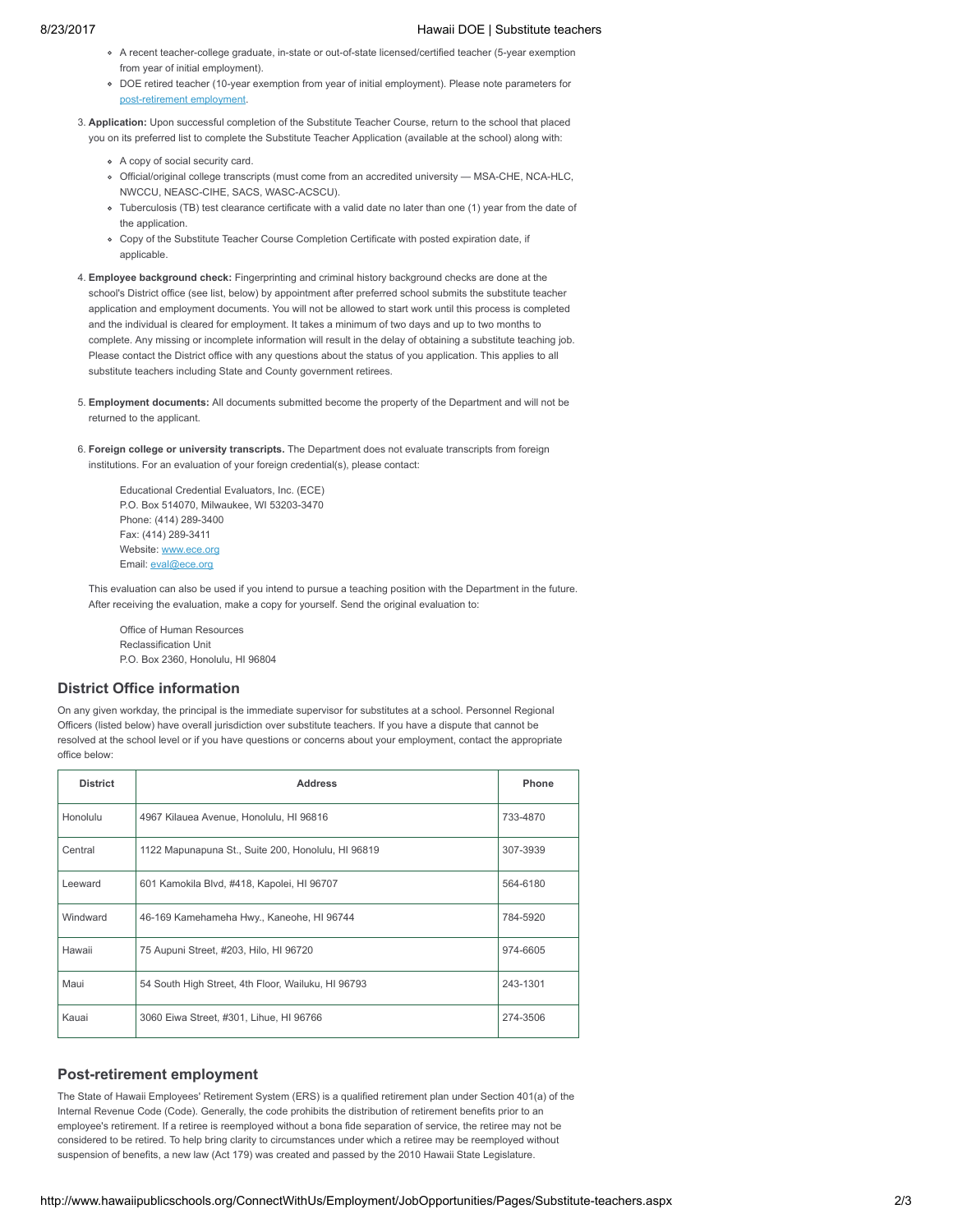- A recent teacher-college graduate, in-state or out-of-state licensed/certified teacher (5-year exemption from year of initial employment).
- DOE retired teacher (10-year exemption from year of initial employment). Please note parameters for post-retirement employ
- 3. Application: Upon successful completion of the Substitute Teacher Course, return to the school that placed you on its preferred list to complete the Substitute Teacher Application (available at the school) along with:
	- A copy of social security card.
	- Official/original college transcripts (must come from an accredited university MSA-CHE, NCA-HLC, NWCCU, NEASC-CIHE, SACS, WASC-ACSCU).
	- Tuberculosis (TB) test clearance certificate with a valid date no later than one (1) year from the date of the application.
	- Copy of the Substitute Teacher Course Completion Certificate with posted expiration date, if applicable.
- 4. Employee background check: Fingerprinting and criminal history background checks are done at the school's District office (see list, below) by appointment after preferred school submits the substitute teacher application and employment documents. You will not be allowed to start work until this process is completed and the individual is cleared for employment. It takes a minimum of two days and up to two months to complete. Any missing or incomplete information will result in the delay of obtaining a substitute teaching job. Please contact the District office with any questions about the status of you application. This applies to all substitute teachers including State and County government retirees.
- 5. Employment documents: All documents submitted become the property of the Department and will not be returned to the applicant.
- 6. Foreign college or university transcripts. The Department does not evaluate transcripts from foreign institutions. For an evaluation of your foreign credential(s), please contact:

Educational Credential Evaluators, Inc. (ECE) P.O. Box 514070, Milwaukee, WI 53203-3470 Phone: (414) 289-3400 Fax: (414) 289-3411 Website: [www.ece.org](https://www.ece.org/) Email: [eval@ece.org](mailto:eval@ece.org)

This evaluation can also be used if you intend to pursue a teaching position with the Department in the future. After receiving the evaluation, make a copy for yourself. Send the original evaluation to:

Office of Human Resources Reclassification Unit P.O. Box 2360, Honolulu, HI 96804

#### District Office information

On any given workday, the principal is the immediate supervisor for substitutes at a school. Personnel Regional Officers (listed below) have overall jurisdiction over substitute teachers. If you have a dispute that cannot be resolved at the school level or if you have questions or concerns about your employment, contact the appropriate office below:

| <b>District</b> | <b>Address</b>                                     | Phone    |
|-----------------|----------------------------------------------------|----------|
| Honolulu        | 4967 Kilauea Avenue, Honolulu, HI 96816            | 733-4870 |
| Central         | 1122 Mapunapuna St., Suite 200, Honolulu, HI 96819 | 307-3939 |
| Leeward         | 601 Kamokila Blvd, #418, Kapolei, HI 96707         | 564-6180 |
| Windward        | 46-169 Kamehameha Hwy., Kaneohe, HI 96744          | 784-5920 |
| Hawaii          | 75 Aupuni Street, #203, Hilo, HI 96720             | 974-6605 |
| Maui            | 54 South High Street, 4th Floor, Wailuku, HI 96793 | 243-1301 |
| Kauai           | 3060 Eiwa Street, #301, Lihue, HI 96766            | 274-3506 |

#### Post-retirement employment

The State of Hawaii Employees' Retirement System (ERS) is a qualified retirement plan under Section 401(a) of the Internal Revenue Code (Code). Generally, the code prohibits the distribution of retirement benefits prior to an employee's retirement. If a retiree is reemployed without a bona fide separation of service, the retiree may not be considered to be retired. To help bring clarity to circumstances under which a retiree may be reemployed without suspension of benefits, a new law (Act 179) was created and passed by the 2010 Hawaii State Legislature.